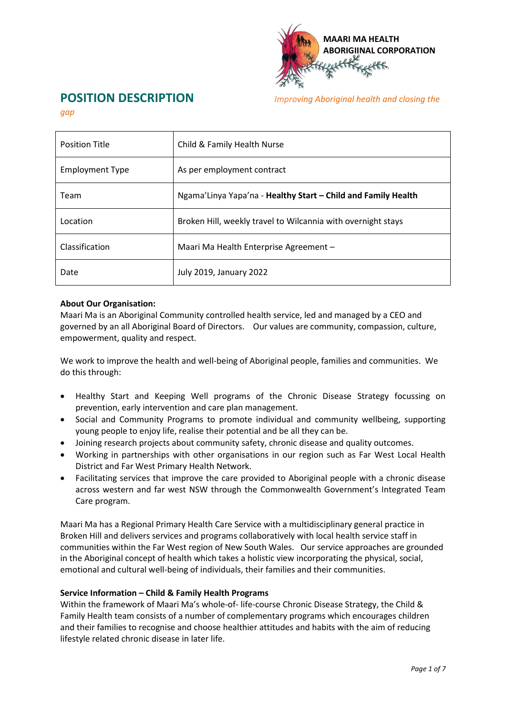

# **POSITION DESCRIPTION** *Improving Aboriginal health and closing the*

*gap*

| <b>Position Title</b> | Child & Family Health Nurse                                   |  |  |  |
|-----------------------|---------------------------------------------------------------|--|--|--|
| Employment Type       | As per employment contract                                    |  |  |  |
| Team                  | Ngama'Linya Yapa'na - Healthy Start - Child and Family Health |  |  |  |
| Location              | Broken Hill, weekly travel to Wilcannia with overnight stays  |  |  |  |
| Classification        | Maari Ma Health Enterprise Agreement –                        |  |  |  |
| Date                  | <b>July 2019, January 2022</b>                                |  |  |  |

# **About Our Organisation:**

Maari Ma is an Aboriginal Community controlled health service, led and managed by a CEO and governed by an all Aboriginal Board of Directors. Our values are community, compassion, culture, empowerment, quality and respect.

We work to improve the health and well-being of Aboriginal people, families and communities. We do this through:

- Healthy Start and Keeping Well programs of the Chronic Disease Strategy focussing on prevention, early intervention and care plan management.
- Social and Community Programs to promote individual and community wellbeing, supporting young people to enjoy life, realise their potential and be all they can be.
- Joining research projects about community safety, chronic disease and quality outcomes.
- Working in partnerships with other organisations in our region such as Far West Local Health District and Far West Primary Health Network.
- Facilitating services that improve the care provided to Aboriginal people with a chronic disease across western and far west NSW through the Commonwealth Government's Integrated Team Care program.

Maari Ma has a Regional Primary Health Care Service with a multidisciplinary general practice in Broken Hill and delivers services and programs collaboratively with local health service staff in communities within the Far West region of New South Wales. Our service approaches are grounded in the Aboriginal concept of health which takes a holistic view incorporating the physical, social, emotional and cultural well-being of individuals, their families and their communities.

### **Service Information – Child & Family Health Programs**

Within the framework of Maari Ma's whole-of- life-course Chronic Disease Strategy, the Child & Family Health team consists of a number of complementary programs which encourages children and their families to recognise and choose healthier attitudes and habits with the aim of reducing lifestyle related chronic disease in later life.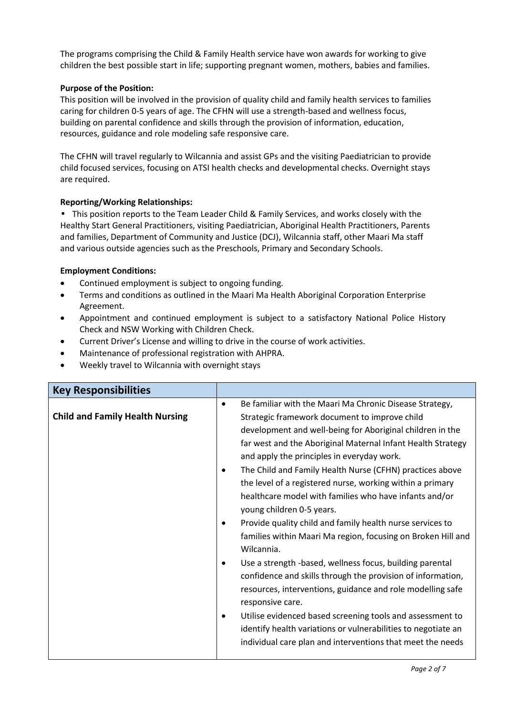The programs comprising the Child & Family Health service have won awards for working to give children the best possible start in life; supporting pregnant women, mothers, babies and families.

# **Purpose of the Position:**

This position will be involved in the provision of quality child and family health services to families caring for children 0-5 years of age. The CFHN will use a strength-based and wellness focus, building on parental confidence and skills through the provision of information, education, resources, guidance and role modeling safe responsive care.

The CFHN will travel regularly to Wilcannia and assist GPs and the visiting Paediatrician to provide child focused services, focusing on ATSI health checks and developmental checks. Overnight stays are required.

# **Reporting/Working Relationships:**

**•** This position reports to the Team Leader Child & Family Services, and works closely with the Healthy Start General Practitioners, visiting Paediatrician, Aboriginal Health Practitioners, Parents and families, Department of Community and Justice (DCJ), Wilcannia staff, other Maari Ma staff and various outside agencies such as the Preschools, Primary and Secondary Schools.

# **Employment Conditions:**

- Continued employment is subject to ongoing funding.
- Terms and conditions as outlined in the Maari Ma Health Aboriginal Corporation Enterprise Agreement.
- Appointment and continued employment is subject to a satisfactory National Police History Check and NSW Working with Children Check.
- Current Driver's License and willing to drive in the course of work activities.
- Maintenance of professional registration with AHPRA.
- Weekly travel to Wilcannia with overnight stays

| <b>Key Responsibilities</b>            |           |                                                                                                                                                                                                                                                                                                                                                                                                                                                                                                                                                                                                                                                                                                                                                                                                                                                            |
|----------------------------------------|-----------|------------------------------------------------------------------------------------------------------------------------------------------------------------------------------------------------------------------------------------------------------------------------------------------------------------------------------------------------------------------------------------------------------------------------------------------------------------------------------------------------------------------------------------------------------------------------------------------------------------------------------------------------------------------------------------------------------------------------------------------------------------------------------------------------------------------------------------------------------------|
| <b>Child and Family Health Nursing</b> | $\bullet$ | Be familiar with the Maari Ma Chronic Disease Strategy,<br>Strategic framework document to improve child<br>development and well-being for Aboriginal children in the<br>far west and the Aboriginal Maternal Infant Health Strategy<br>and apply the principles in everyday work.<br>The Child and Family Health Nurse (CFHN) practices above<br>the level of a registered nurse, working within a primary<br>healthcare model with families who have infants and/or<br>young children 0-5 years.<br>Provide quality child and family health nurse services to<br>families within Maari Ma region, focusing on Broken Hill and<br>Wilcannia.<br>Use a strength -based, wellness focus, building parental<br>confidence and skills through the provision of information,<br>resources, interventions, guidance and role modelling safe<br>responsive care. |
|                                        |           | Utilise evidenced based screening tools and assessment to<br>identify health variations or vulnerabilities to negotiate an<br>individual care plan and interventions that meet the needs                                                                                                                                                                                                                                                                                                                                                                                                                                                                                                                                                                                                                                                                   |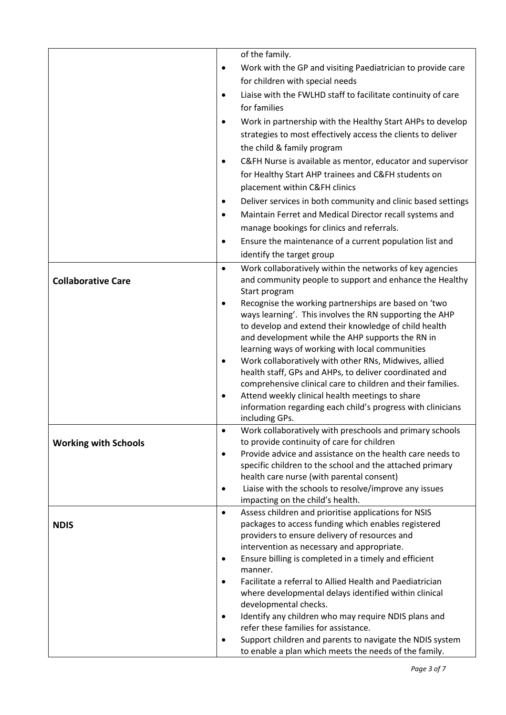|                             |           | of the family.                                                                                                  |
|-----------------------------|-----------|-----------------------------------------------------------------------------------------------------------------|
|                             | $\bullet$ | Work with the GP and visiting Paediatrician to provide care                                                     |
|                             |           | for children with special needs                                                                                 |
|                             | $\bullet$ | Liaise with the FWLHD staff to facilitate continuity of care                                                    |
|                             |           | for families                                                                                                    |
|                             |           | Work in partnership with the Healthy Start AHPs to develop                                                      |
|                             |           | strategies to most effectively access the clients to deliver                                                    |
|                             |           | the child & family program                                                                                      |
|                             | $\bullet$ | C&FH Nurse is available as mentor, educator and supervisor                                                      |
|                             |           |                                                                                                                 |
|                             |           | for Healthy Start AHP trainees and C&FH students on                                                             |
|                             |           | placement within C&FH clinics                                                                                   |
|                             | $\bullet$ | Deliver services in both community and clinic based settings                                                    |
|                             | $\bullet$ | Maintain Ferret and Medical Director recall systems and                                                         |
|                             |           | manage bookings for clinics and referrals.                                                                      |
|                             | $\bullet$ | Ensure the maintenance of a current population list and                                                         |
|                             |           | identify the target group                                                                                       |
|                             | $\bullet$ | Work collaboratively within the networks of key agencies                                                        |
| <b>Collaborative Care</b>   |           | and community people to support and enhance the Healthy                                                         |
|                             |           | Start program                                                                                                   |
|                             |           | Recognise the working partnerships are based on 'two<br>ways learning'. This involves the RN supporting the AHP |
|                             |           | to develop and extend their knowledge of child health                                                           |
|                             |           | and development while the AHP supports the RN in                                                                |
|                             |           | learning ways of working with local communities                                                                 |
|                             |           | Work collaboratively with other RNs, Midwives, allied                                                           |
|                             |           | health staff, GPs and AHPs, to deliver coordinated and                                                          |
|                             |           | comprehensive clinical care to children and their families.                                                     |
|                             | $\bullet$ | Attend weekly clinical health meetings to share                                                                 |
|                             |           | information regarding each child's progress with clinicians                                                     |
|                             |           | including GPs.<br>Work collaboratively with preschools and primary schools                                      |
| <b>Working with Schools</b> |           | to provide continuity of care for children                                                                      |
|                             | $\bullet$ | Provide advice and assistance on the health care needs to                                                       |
|                             |           | specific children to the school and the attached primary                                                        |
|                             |           | health care nurse (with parental consent)                                                                       |
|                             | ٠         | Liaise with the schools to resolve/improve any issues                                                           |
|                             |           | impacting on the child's health.                                                                                |
|                             | $\bullet$ | Assess children and prioritise applications for NSIS                                                            |
| <b>NDIS</b>                 |           | packages to access funding which enables registered                                                             |
|                             |           | providers to ensure delivery of resources and<br>intervention as necessary and appropriate.                     |
|                             | $\bullet$ | Ensure billing is completed in a timely and efficient                                                           |
|                             |           | manner.                                                                                                         |
|                             | $\bullet$ | Facilitate a referral to Allied Health and Paediatrician                                                        |
|                             |           | where developmental delays identified within clinical                                                           |
|                             |           | developmental checks.                                                                                           |
|                             | $\bullet$ | Identify any children who may require NDIS plans and                                                            |
|                             |           | refer these families for assistance.                                                                            |
|                             | $\bullet$ | Support children and parents to navigate the NDIS system                                                        |
|                             |           | to enable a plan which meets the needs of the family.                                                           |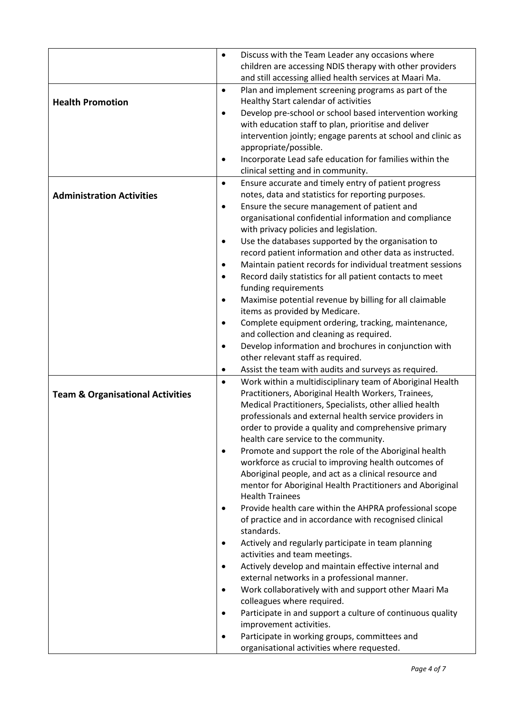|                                             | $\bullet$ | Discuss with the Team Leader any occasions where                                                                  |
|---------------------------------------------|-----------|-------------------------------------------------------------------------------------------------------------------|
|                                             |           | children are accessing NDIS therapy with other providers                                                          |
|                                             |           | and still accessing allied health services at Maari Ma.                                                           |
|                                             | $\bullet$ | Plan and implement screening programs as part of the                                                              |
| <b>Health Promotion</b>                     |           | Healthy Start calendar of activities                                                                              |
|                                             | $\bullet$ | Develop pre-school or school based intervention working                                                           |
|                                             |           | with education staff to plan, prioritise and deliver                                                              |
|                                             |           | intervention jointly; engage parents at school and clinic as                                                      |
|                                             | $\bullet$ | appropriate/possible.<br>Incorporate Lead safe education for families within the                                  |
|                                             |           | clinical setting and in community.                                                                                |
|                                             | $\bullet$ | Ensure accurate and timely entry of patient progress                                                              |
| <b>Administration Activities</b>            |           | notes, data and statistics for reporting purposes.                                                                |
|                                             | $\bullet$ | Ensure the secure management of patient and                                                                       |
|                                             |           | organisational confidential information and compliance                                                            |
|                                             |           | with privacy policies and legislation.                                                                            |
|                                             | $\bullet$ | Use the databases supported by the organisation to                                                                |
|                                             |           | record patient information and other data as instructed.                                                          |
|                                             |           | Maintain patient records for individual treatment sessions                                                        |
|                                             | $\bullet$ | Record daily statistics for all patient contacts to meet                                                          |
|                                             |           | funding requirements                                                                                              |
|                                             |           | Maximise potential revenue by billing for all claimable                                                           |
|                                             |           | items as provided by Medicare.                                                                                    |
|                                             | $\bullet$ | Complete equipment ordering, tracking, maintenance,                                                               |
|                                             |           | and collection and cleaning as required.                                                                          |
|                                             | $\bullet$ | Develop information and brochures in conjunction with                                                             |
|                                             |           | other relevant staff as required.                                                                                 |
|                                             |           | Assist the team with audits and surveys as required.                                                              |
|                                             | $\bullet$ | Work within a multidisciplinary team of Aboriginal Health                                                         |
| <b>Team &amp; Organisational Activities</b> |           | Practitioners, Aboriginal Health Workers, Trainees,                                                               |
|                                             |           | Medical Practitioners, Specialists, other allied health                                                           |
|                                             |           | professionals and external health service providers in                                                            |
|                                             |           | order to provide a quality and comprehensive primary                                                              |
|                                             |           | health care service to the community.                                                                             |
|                                             | $\bullet$ | Promote and support the role of the Aboriginal health                                                             |
|                                             |           | workforce as crucial to improving health outcomes of                                                              |
|                                             |           | Aboriginal people, and act as a clinical resource and                                                             |
|                                             |           | mentor for Aboriginal Health Practitioners and Aboriginal                                                         |
|                                             |           | <b>Health Trainees</b>                                                                                            |
|                                             |           | Provide health care within the AHPRA professional scope<br>of practice and in accordance with recognised clinical |
|                                             |           | standards.                                                                                                        |
|                                             | $\bullet$ | Actively and regularly participate in team planning                                                               |
|                                             |           | activities and team meetings.                                                                                     |
|                                             | $\bullet$ | Actively develop and maintain effective internal and                                                              |
|                                             |           | external networks in a professional manner.                                                                       |
|                                             |           | Work collaboratively with and support other Maari Ma                                                              |
|                                             |           | colleagues where required.                                                                                        |
|                                             | $\bullet$ | Participate in and support a culture of continuous quality                                                        |
|                                             |           | improvement activities.                                                                                           |
|                                             |           | Participate in working groups, committees and                                                                     |
|                                             |           | organisational activities where requested.                                                                        |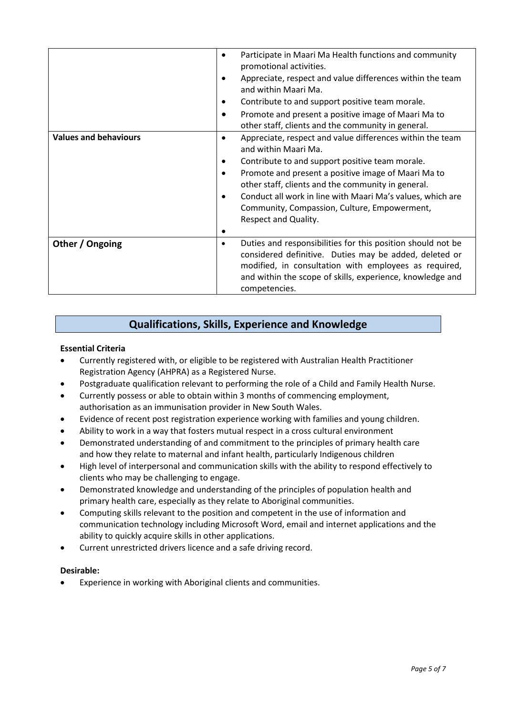|                              | Participate in Maari Ma Health functions and community<br>٠<br>promotional activities.                                                                                                                                                           |
|------------------------------|--------------------------------------------------------------------------------------------------------------------------------------------------------------------------------------------------------------------------------------------------|
|                              | Appreciate, respect and value differences within the team<br>and within Maari Ma.                                                                                                                                                                |
|                              | Contribute to and support positive team morale.                                                                                                                                                                                                  |
|                              | Promote and present a positive image of Maari Ma to<br>$\bullet$<br>other staff, clients and the community in general.                                                                                                                           |
| <b>Values and behaviours</b> | Appreciate, respect and value differences within the team<br>$\bullet$<br>and within Maari Ma.                                                                                                                                                   |
|                              | Contribute to and support positive team morale.<br>$\bullet$                                                                                                                                                                                     |
|                              | Promote and present a positive image of Maari Ma to                                                                                                                                                                                              |
|                              | other staff, clients and the community in general.                                                                                                                                                                                               |
|                              | Conduct all work in line with Maari Ma's values, which are                                                                                                                                                                                       |
|                              | Community, Compassion, Culture, Empowerment,                                                                                                                                                                                                     |
|                              | Respect and Quality.                                                                                                                                                                                                                             |
|                              |                                                                                                                                                                                                                                                  |
| Other / Ongoing              | Duties and responsibilities for this position should not be<br>٠<br>considered definitive. Duties may be added, deleted or<br>modified, in consultation with employees as required,<br>and within the scope of skills, experience, knowledge and |
|                              | competencies.                                                                                                                                                                                                                                    |

# **Qualifications, Skills, Experience and Knowledge**

# **Essential Criteria**

- Currently registered with, or eligible to be registered with Australian Health Practitioner Registration Agency (AHPRA) as a Registered Nurse.
- Postgraduate qualification relevant to performing the role of a Child and Family Health Nurse.
- Currently possess or able to obtain within 3 months of commencing employment, authorisation as an immunisation provider in New South Wales.
- Evidence of recent post registration experience working with families and young children.
- Ability to work in a way that fosters mutual respect in a cross cultural environment
- Demonstrated understanding of and commitment to the principles of primary health care and how they relate to maternal and infant health, particularly Indigenous children
- High level of interpersonal and communication skills with the ability to respond effectively to clients who may be challenging to engage.
- Demonstrated knowledge and understanding of the principles of population health and primary health care, especially as they relate to Aboriginal communities.
- Computing skills relevant to the position and competent in the use of information and communication technology including Microsoft Word, email and internet applications and the ability to quickly acquire skills in other applications.
- Current unrestricted drivers licence and a safe driving record.

### **Desirable:**

Experience in working with Aboriginal clients and communities.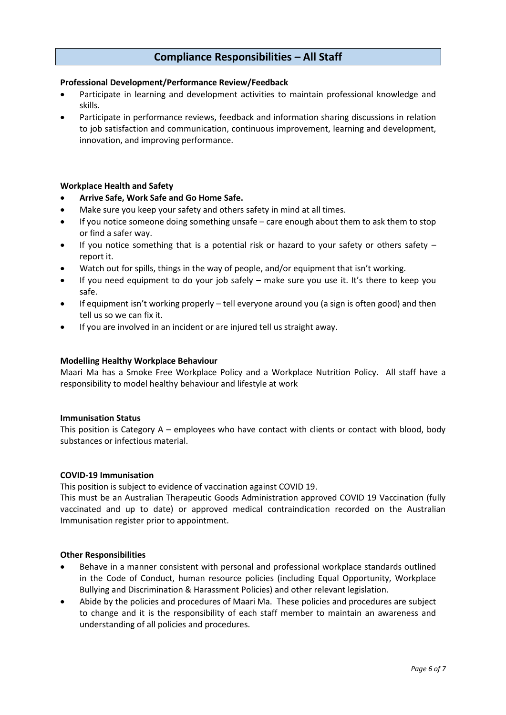# **Compliance Responsibilities – All Staff**

### **Professional Development/Performance Review/Feedback**

- Participate in learning and development activities to maintain professional knowledge and skills.
- Participate in performance reviews, feedback and information sharing discussions in relation to job satisfaction and communication, continuous improvement, learning and development, innovation, and improving performance.

### **Workplace Health and Safety**

- **Arrive Safe, Work Safe and Go Home Safe.**
- Make sure you keep your safety and others safety in mind at all times.
- If you notice someone doing something unsafe care enough about them to ask them to stop or find a safer way.
- If you notice something that is a potential risk or hazard to your safety or others safety report it.
- Watch out for spills, things in the way of people, and/or equipment that isn't working.
- If you need equipment to do your job safely make sure you use it. It's there to keep you safe.
- If equipment isn't working properly tell everyone around you (a sign is often good) and then tell us so we can fix it.
- If you are involved in an incident or are injured tell us straight away.

### **Modelling Healthy Workplace Behaviour**

Maari Ma has a Smoke Free Workplace Policy and a Workplace Nutrition Policy. All staff have a responsibility to model healthy behaviour and lifestyle at work

#### **Immunisation Status**

This position is Category A – employees who have contact with clients or contact with blood, body substances or infectious material.

#### **COVID-19 Immunisation**

This position is subject to evidence of vaccination against COVID 19.

This must be an Australian Therapeutic Goods Administration approved COVID 19 Vaccination (fully vaccinated and up to date) or approved medical contraindication recorded on the Australian Immunisation register prior to appointment.

### **Other Responsibilities**

- Behave in a manner consistent with personal and professional workplace standards outlined in the Code of Conduct, human resource policies (including Equal Opportunity, Workplace Bullying and Discrimination & Harassment Policies) and other relevant legislation.
- Abide by the policies and procedures of Maari Ma. These policies and procedures are subject to change and it is the responsibility of each staff member to maintain an awareness and understanding of all policies and procedures.